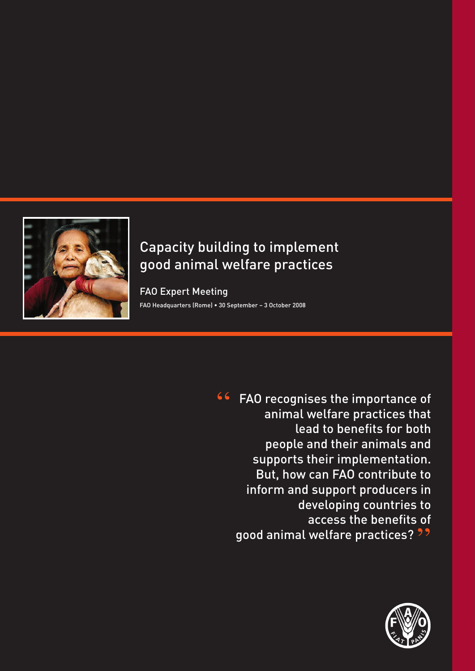

# Capacity building to implement good animal welfare practices

FAO Expert Meeting

FAO Headquarters (Rome) • 30 September - 3 October 2008

**66** FAO recognises the importance of animal welfare practices that lead to benefits for both people and their animals and supports their implementation. But, how can FAO contribute to inform and support producers in developing countries to access the benefits of good animal welfare practices? ??

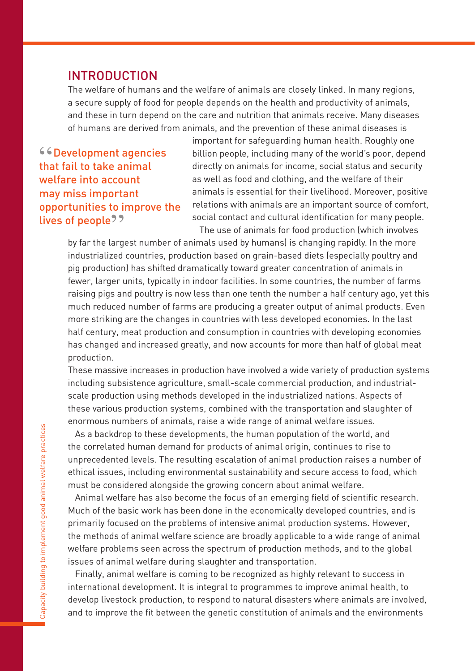### INTRODUCTION

The welfare of humans and the welfare of animals are closely linked. In many regions, a secure supply of food for people depends on the health and productivity of animals, and these in turn depend on the care and nutrition that animals receive. Many diseases of humans are derived from animals, and the prevention of these animal diseases is

"Development agencies that fail to take animal welfare into account may miss important opportunities to improve the lives of people??<br>hy far the large

important for safeguarding human health. Roughly one billion people, including many of the world's poor, depend directly on animals for income, social status and security as well as food and clothing, and the welfare of their animals is essential for their livelihood. Moreover, positive relations with animals are an important source of comfort, social contact and cultural identification for many people. The use of animals for food production (which involves

by far the largest number of animals used by humans) is changing rapidly. In the more industrialized countries, production based on grain-based diets (especially poultry and pig production) has shifted dramatically toward greater concentration of animals in fewer, larger units, typically in indoor facilities. In some countries, the number of farms raising pigs and poultry is now less than one tenth the number a half century ago, yet this much reduced number of farms are producing a greater output of animal products. Even more striking are the changes in countries with less developed economies. In the last half century, meat production and consumption in countries with developing economies has changed and increased greatly, and now accounts for more than half of global meat production.

These massive increases in production have involved a wide variety of production systems including subsistence agriculture, small-scale commercial production, and industrialscale production using methods developed in the industrialized nations. Aspects of these various production systems, combined with the transportation and slaughter of enormous numbers of animals, raise a wide range of animal welfare issues.

As a backdrop to these developments, the human population of the world, and the correlated human demand for products of animal origin, continues to rise to unprecedented levels. The resulting escalation of animal production raises a number of ethical issues, including environmental sustainability and secure access to food, which must be considered alongside the growing concern about animal welfare.

Animal welfare has also become the focus of an emerging field of scientific research. Much of the basic work has been done in the economically developed countries, and is primarily focused on the problems of intensive animal production systems. However, the methods of animal welfare science are broadly applicable to a wide range of animal welfare problems seen across the spectrum of production methods, and to the global issues of animal welfare during slaughter and transportation.

Finally, animal welfare is coming to be recognized as highly relevant to success in international development. It is integral to programmes to improve animal health, to develop livestock production, to respond to natural disasters where animals are involved, and to improve the fit between the genetic constitution of animals and the environments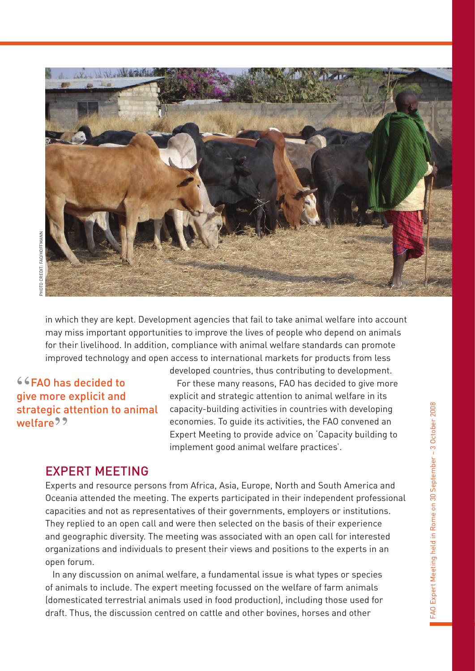

in which they are kept. Development agencies that fail to take animal welfare into account may miss important opportunities to improve the lives of people who depend on animals for their livelihood. In addition, compliance with animal welfare standards can promote improved technology and open access to international markets for products from less

"FAO has decided to give more explicit and strategic attention to animal welfare<sup>99</sup>

developed countries, thus contributing to development. For these many reasons, FAO has decided to give more explicit and strategic attention to animal welfare in its capacity-building activities in countries with developing economies. To guide its activities, the FAO convened an Expert Meeting to provide advice on 'Capacity building to implement good animal welfare practices'.

#### EXPERT MEETING

Experts and resource persons from Africa, Asia, Europe, North and South America and Oceania attended the meeting. The experts participated in their independent professional capacities and not as representatives of their governments, employers or institutions. They replied to an open call and were then selected on the basis of their experience and geographic diversity. The meeting was associated with an open call for interested organizations and individuals to present their views and positions to the experts in an open forum.

In any discussion on animal welfare, a fundamental issue is what types or species of animals to include. The expert meeting focussed on the welfare of farm animals (domesticated terrestrial animals used in food production), including those used for draft. Thus, the discussion centred on cattle and other bovines, horses and other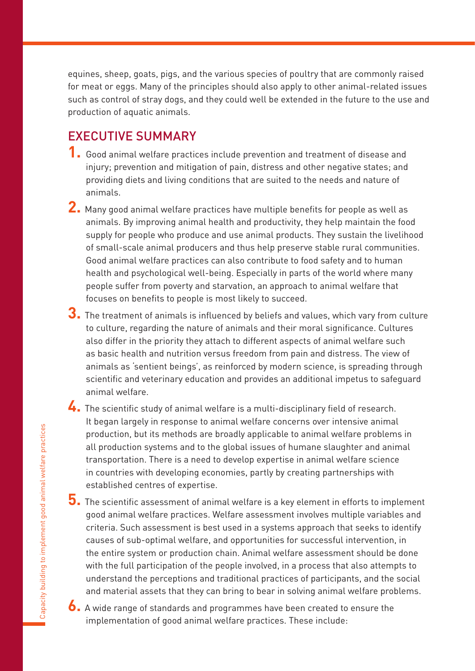equines, sheep, goats, pigs, and the various species of poultry that are commonly raised for meat or eggs. Many of the principles should also apply to other animal-related issues such as control of stray dogs, and they could well be extended in the future to the use and production of aquatic animals.

## **EXECUTIVE SUMMARY**

- **1.** Good animal welfare practices include prevention and treatment of disease and injury; prevention and mitigation of pain, distress and other negative states; and providing diets and living conditions that are suited to the needs and nature of animals.
- **2.** Many good animal welfare practices have multiple benefits for people as well as animals. By improving animal health and productivity, they help maintain the food supply for people who produce and use animal products. They sustain the livelihood of small-scale animal producers and thus help preserve stable rural communities. Good animal welfare practices can also contribute to food safety and to human health and psychological well-being. Especially in parts of the world where many people suffer from poverty and starvation, an approach to animal welfare that focuses on benefits to people is most likely to succeed.
- **3.** The treatment of animals is influenced by beliefs and values, which vary from culture to culture, regarding the nature of animals and their moral significance. Cultures also differ in the priority they attach to different aspects of animal welfare such as basic health and nutrition versus freedom from pain and distress. The view of animals as 'sentient beings', as reinforced by modern science, is spreading through scientific and veterinary education and provides an additional impetus to safeguard animal welfare.
- **4.** The scientific study of animal welfare is a multi-disciplinary field of research. It began largely in response to animal welfare concerns over intensive animal production, but its methods are broadly applicable to animal welfare problems in all production systems and to the global issues of humane slaughter and animal transportation. There is a need to develop expertise in animal welfare science in countries with developing economies, partly by creating partnerships with established centres of expertise.
- **5.** The scientific assessment of animal welfare is a key element in efforts to implement good animal welfare practices. Welfare assessment involves multiple variables and criteria. Such assessment is best used in a systems approach that seeks to identify causes of sub-optimal welfare, and opportunities for successful intervention, in the entire system or production chain. Animal welfare assessment should be done with the full participation of the people involved, in a process that also attempts to understand the perceptions and traditional practices of participants, and the social and material assets that they can bring to bear in solving animal welfare problems.
- **6.** A wide range of standards and programmes have been created to ensure the implementation of good animal welfare practices. These include: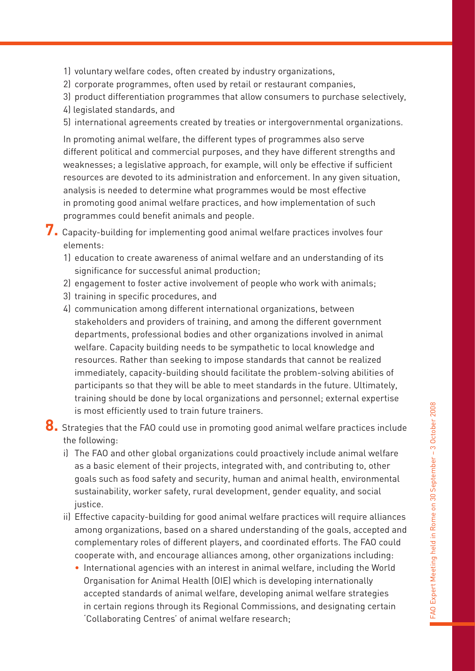- 1) voluntary welfare codes, often created by industry organizations,
- 2) corporate programmes, often used by retail or restaurant companies,
- 3) product differentiation programmes that allow consumers to purchase selectively,
- 4) legislated standards, and
- 5) international agreements created by treaties or intergovernmental organizations.

In promoting animal welfare, the different types of programmes also serve different political and commercial purposes, and they have different strengths and weaknesses; a legislative approach, for example, will only be effective if sufficient resources are devoted to its administration and enforcement. In any given situation, analysis is needed to determine what programmes would be most effective in promoting good animal welfare practices, and how implementation of such programmes could benefit animals and people.

**7.** Capacity-building for implementing good animal welfare practices involves four elements:

- 1) education to create awareness of animal welfare and an understanding of its significance for successful animal production;
- 2) engagement to foster active involvement of people who work with animals;
- 3) training in specific procedures, and
- 4) communication among different international organizations, between stakeholders and providers of training, and among the different government departments, professional bodies and other organizations involved in animal welfare. Capacity building needs to be sympathetic to local knowledge and resources. Rather than seeking to impose standards that cannot be realized immediately, capacity-building should facilitate the problem-solving abilities of participants so that they will be able to meet standards in the future. Ultimately, training should be done by local organizations and personnel; external expertise is most efficiently used to train future trainers.

**8.** Strategies that the FAO could use in promoting good animal welfare practices include the following:

- i) The FAO and other global organizations could proactively include animal welfare as a basic element of their projects, integrated with, and contributing to, other goals such as food safety and security, human and animal health, environmental sustainability, worker safety, rural development, gender equality, and social justice.
- ii) Effective capacity-building for good animal welfare practices will require alliances among organizations, based on a shared understanding of the goals, accepted and complementary roles of different players, and coordinated efforts. The FAO could cooperate with, and encourage alliances among, other organizations including:
	- ~ International agencies with an interest in animal welfare, including the World Organisation for Animal Health (OIE) which is developing internationally accepted standards of animal welfare, developing animal welfare strategies in certain regions through its Regional Commissions, and designating certain 'Collaborating Centres' of animal welfare research;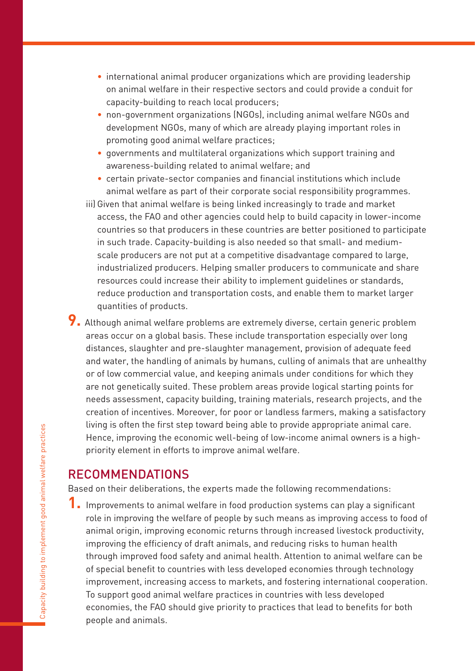- ~ international animal producer organizations which are providing leadership on animal welfare in their respective sectors and could provide a conduit for capacity-building to reach local producers;
- ~ non-government organizations (NGOs), including animal welfare NGOs and development NGOs, many of which are already playing important roles in promoting good animal welfare practices;
- ~ governments and multilateral organizations which support training and awareness-building related to animal welfare; and
- ~ certain private-sector companies and financial institutions which include animal welfare as part of their corporate social responsibility programmes.
- iii) Given that animal welfare is being linked increasingly to trade and market access, the FAO and other agencies could help to build capacity in lower-income countries so that producers in these countries are better positioned to participate in such trade. Capacity-building is also needed so that small- and mediumscale producers are not put at a competitive disadvantage compared to large, industrialized producers. Helping smaller producers to communicate and share resources could increase their ability to implement guidelines or standards, reduce production and transportation costs, and enable them to market larger quantities of products.
- **9.** Although animal welfare problems are extremely diverse, certain generic problem areas occur on a global basis. These include transportation especially over long distances, slaughter and pre-slaughter management, provision of adequate feed and water, the handling of animals by humans, culling of animals that are unhealthy or of low commercial value, and keeping animals under conditions for which they are not genetically suited. These problem areas provide logical starting points for needs assessment, capacity building, training materials, research projects, and the creation of incentives. Moreover, for poor or landless farmers, making a satisfactory living is often the first step toward being able to provide appropriate animal care. Hence, improving the economic well-being of low-income animal owners is a highpriority element in efforts to improve animal welfare.

## **RECOMMENDATIONS**

Based on their deliberations, the experts made the following recommendations:

**1.** Improvements to animal welfare in food production systems can play a significant role in improving the welfare of people by such means as improving access to food of animal origin, improving economic returns through increased livestock productivity, improving the efficiency of draft animals, and reducing risks to human health through improved food safety and animal health. Attention to animal welfare can be of special benefit to countries with less developed economies through technology improvement, increasing access to markets, and fostering international cooperation. To support good animal welfare practices in countries with less developed economies, the FAO should give priority to practices that lead to benefits for both people and animals.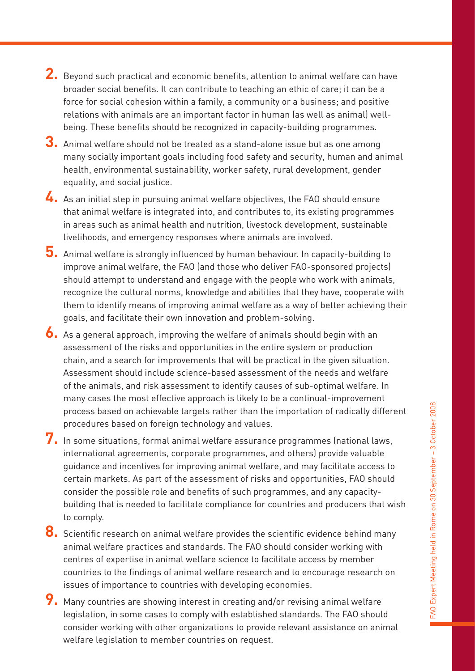- **2.** Beyond such practical and economic benefits, attention to animal welfare can have broader social benefits. It can contribute to teaching an ethic of care; it can be a force for social cohesion within a family, a community or a business; and positive relations with animals are an important factor in human (as well as animal) wellbeing. These benefits should be recognized in capacity-building programmes.
- **3.** Animal welfare should not be treated as a stand-alone issue but as one among many socially important goals including food safety and security, human and animal health, environmental sustainability, worker safety, rural development, gender equality, and social justice.
- **4.** As an initial step in pursuing animal welfare objectives, the FAO should ensure that animal welfare is integrated into, and contributes to, its existing programmes in areas such as animal health and nutrition, livestock development, sustainable livelihoods, and emergency responses where animals are involved.
- **5.** Animal welfare is strongly influenced by human behaviour. In capacity-building to improve animal welfare, the FAO (and those who deliver FAO-sponsored projects) should attempt to understand and engage with the people who work with animals, recognize the cultural norms, knowledge and abilities that they have, cooperate with them to identify means of improving animal welfare as a way of better achieving their goals, and facilitate their own innovation and problem-solving.
- **6.** As a general approach, improving the welfare of animals should begin with an assessment of the risks and opportunities in the entire system or production chain, and a search for improvements that will be practical in the given situation. Assessment should include science-based assessment of the needs and welfare of the animals, and risk assessment to identify causes of sub-optimal welfare. In many cases the most effective approach is likely to be a continual-improvement process based on achievable targets rather than the importation of radically different procedures based on foreign technology and values.
- **7.** In some situations, formal animal welfare assurance programmes (national laws, international agreements, corporate programmes, and others) provide valuable guidance and incentives for improving animal welfare, and may facilitate access to certain markets. As part of the assessment of risks and opportunities, FAO should consider the possible role and benefits of such programmes, and any capacitybuilding that is needed to facilitate compliance for countries and producers that wish to comply.
- **8.** Scientific research on animal welfare provides the scientific evidence behind many animal welfare practices and standards. The FAO should consider working with centres of expertise in animal welfare science to facilitate access by member countries to the findings of animal welfare research and to encourage research on issues of importance to countries with developing economies.
- **9.** Many countries are showing interest in creating and/or revising animal welfare legislation, in some cases to comply with established standards. The FAO should consider working with other organizations to provide relevant assistance on animal welfare legislation to member countries on request.